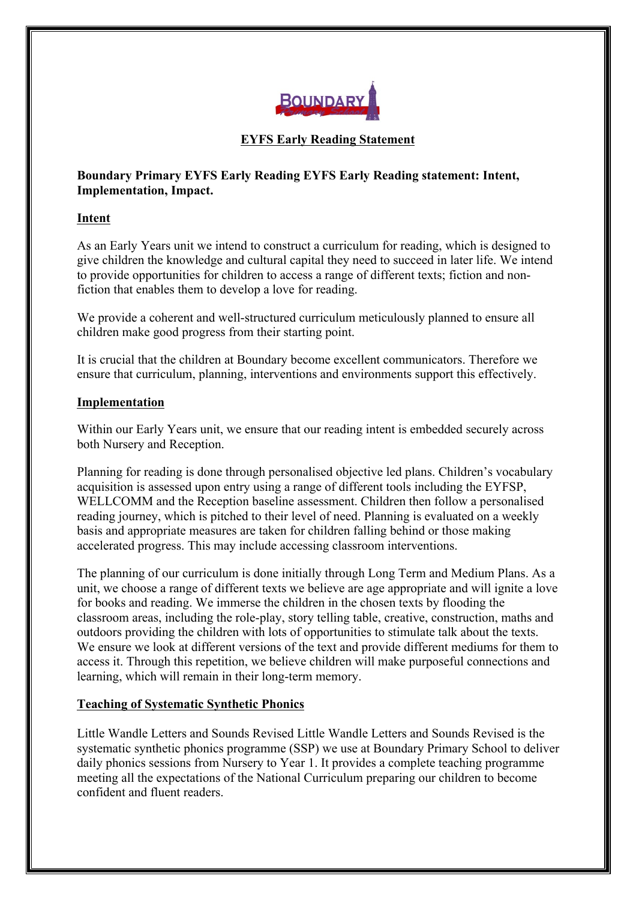

## **EYFS Early Reading Statement**

# **Boundary Primary EYFS Early Reading EYFS Early Reading statement: Intent, Implementation, Impact.**

#### **Intent**

As an Early Years unit we intend to construct a curriculum for reading, which is designed to give children the knowledge and cultural capital they need to succeed in later life. We intend to provide opportunities for children to access a range of different texts; fiction and nonfiction that enables them to develop a love for reading.

We provide a coherent and well-structured curriculum meticulously planned to ensure all children make good progress from their starting point.

It is crucial that the children at Boundary become excellent communicators. Therefore we ensure that curriculum, planning, interventions and environments support this effectively.

### **Implementation**

Within our Early Years unit, we ensure that our reading intent is embedded securely across both Nursery and Reception.

Planning for reading is done through personalised objective led plans. Children's vocabulary acquisition is assessed upon entry using a range of different tools including the EYFSP, WELLCOMM and the Reception baseline assessment. Children then follow a personalised reading journey, which is pitched to their level of need. Planning is evaluated on a weekly basis and appropriate measures are taken for children falling behind or those making accelerated progress. This may include accessing classroom interventions.

The planning of our curriculum is done initially through Long Term and Medium Plans. As a unit, we choose a range of different texts we believe are age appropriate and will ignite a love for books and reading. We immerse the children in the chosen texts by flooding the classroom areas, including the role-play, story telling table, creative, construction, maths and outdoors providing the children with lots of opportunities to stimulate talk about the texts. We ensure we look at different versions of the text and provide different mediums for them to access it. Through this repetition, we believe children will make purposeful connections and learning, which will remain in their long-term memory.

#### **Teaching of Systematic Synthetic Phonics**

Little Wandle Letters and Sounds Revised Little Wandle Letters and Sounds Revised is the systematic synthetic phonics programme (SSP) we use at Boundary Primary School to deliver daily phonics sessions from Nursery to Year 1. It provides a complete teaching programme meeting all the expectations of the National Curriculum preparing our children to become confident and fluent readers.